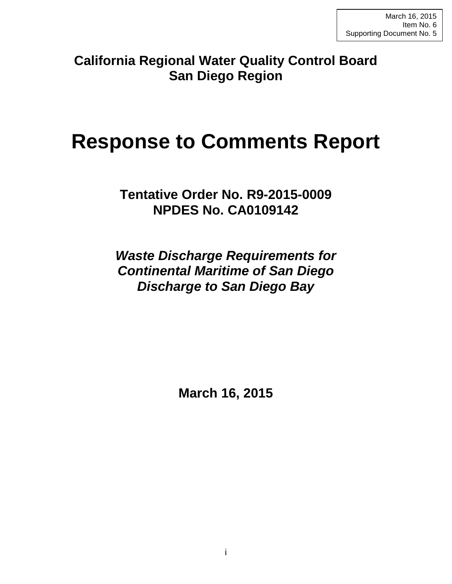**California Regional Water Quality Control Board San Diego Region**

# **Response to Comments Report**

**Tentative Order No. R9-2015-0009 NPDES No. CA0109142**

*Waste Discharge Requirements for Continental Maritime of San Diego Discharge to San Diego Bay*

**March 16, 2015**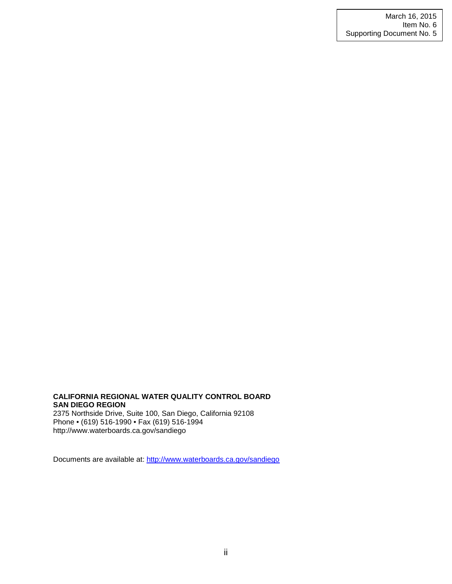#### **CALIFORNIA REGIONAL WATER QUALITY CONTROL BOARD SAN DIEGO REGION**

2375 Northside Drive, Suite 100, San Diego, California 92108 Phone • (619) 516-1990 • Fax (619) 516-1994 http://www.waterboards.ca.gov/sandiego

Documents are available at:<http://www.waterboards.ca.gov/sandiego>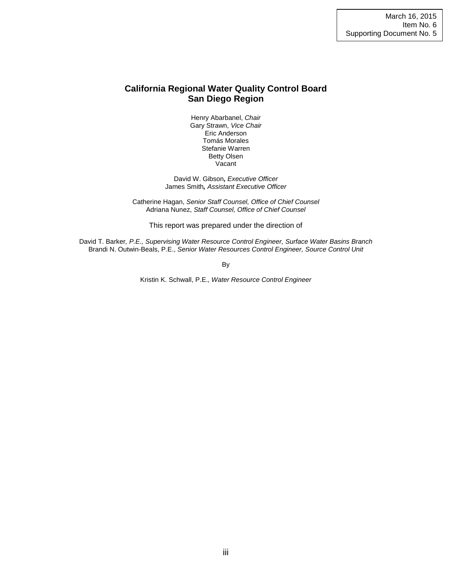### **California Regional Water Quality Control Board San Diego Region**

Henry Abarbanel, *Chair* Gary Strawn, *Vice Chair* Eric Anderson Tomás Morales Stefanie Warren Betty Olsen Vacant

David W. Gibson*, Executive Officer* James Smith*, Assistant Executive Officer*

Catherine Hagan, *Senior Staff Counsel, Office of Chief Counsel* Adriana Nunez, *Staff Counsel, Office of Chief Counsel*

This report was prepared under the direction of

David T. Barker*, P.E., Supervising Water Resource Control Engineer, Surface Water Basins Branch* Brandi N. Outwin-Beals, P.E., *Senior Water Resources Control Engineer, Source Control Unit*

By

Kristin K. Schwall, P.E.*, Water Resource Control Engineer*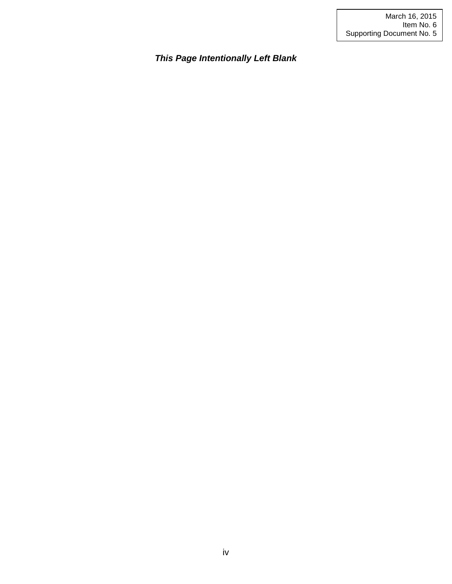*This Page Intentionally Left Blank*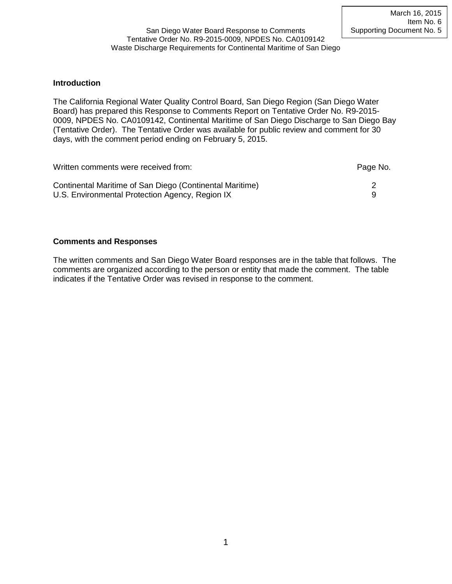#### **Introduction**

The California Regional Water Quality Control Board, San Diego Region (San Diego Water Board) has prepared this Response to Comments Report on Tentative Order No. R9-2015- 0009, NPDES No. CA0109142, Continental Maritime of San Diego Discharge to San Diego Bay (Tentative Order). The Tentative Order was available for public review and comment for 30 days, with the comment period ending on February 5, 2015.

| Written comments were received from:                                                                        |  |
|-------------------------------------------------------------------------------------------------------------|--|
| Continental Maritime of San Diego (Continental Maritime)<br>U.S. Environmental Protection Agency, Region IX |  |

#### **Comments and Responses**

The written comments and San Diego Water Board responses are in the table that follows. The comments are organized according to the person or entity that made the comment. The table indicates if the Tentative Order was revised in response to the comment.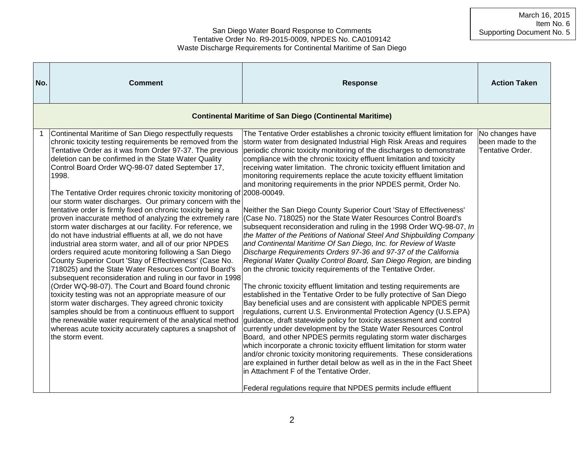|                            |                                                                                                                                                                                                                                                                                                                                                                                                                                                                                                                                                                                                                                                                                                                                                                                                                                                                                                                                                                                                                                                                                                                                                                                                                                                                                                                                                           | <b>Continental Maritime of San Diego (Continental Maritime)</b>                                                                                                                                                                                                                                                                                                                                                                                                                                                                                                                                                                                                                                                                                                                                                                                                                                                                                                                                                                                                                                                                                                                                                                                                                                                                                                                                                                                                                                                                                                                                                                                                                                                                                                                                                                                                                                                                                                         |                                                         |
|----------------------------|-----------------------------------------------------------------------------------------------------------------------------------------------------------------------------------------------------------------------------------------------------------------------------------------------------------------------------------------------------------------------------------------------------------------------------------------------------------------------------------------------------------------------------------------------------------------------------------------------------------------------------------------------------------------------------------------------------------------------------------------------------------------------------------------------------------------------------------------------------------------------------------------------------------------------------------------------------------------------------------------------------------------------------------------------------------------------------------------------------------------------------------------------------------------------------------------------------------------------------------------------------------------------------------------------------------------------------------------------------------|-------------------------------------------------------------------------------------------------------------------------------------------------------------------------------------------------------------------------------------------------------------------------------------------------------------------------------------------------------------------------------------------------------------------------------------------------------------------------------------------------------------------------------------------------------------------------------------------------------------------------------------------------------------------------------------------------------------------------------------------------------------------------------------------------------------------------------------------------------------------------------------------------------------------------------------------------------------------------------------------------------------------------------------------------------------------------------------------------------------------------------------------------------------------------------------------------------------------------------------------------------------------------------------------------------------------------------------------------------------------------------------------------------------------------------------------------------------------------------------------------------------------------------------------------------------------------------------------------------------------------------------------------------------------------------------------------------------------------------------------------------------------------------------------------------------------------------------------------------------------------------------------------------------------------------------------------------------------------|---------------------------------------------------------|
| 1998.<br>lthe storm event. | Continental Maritime of San Diego respectfully requests<br>chronic toxicity testing requirements be removed from the<br>Tentative Order as it was from Order 97-37. The previous<br>deletion can be confirmed in the State Water Quality<br>Control Board Order WQ-98-07 dated September 17,<br>The Tentative Order requires chronic toxicity monitoring of 2008-00049.<br>our storm water discharges. Our primary concern with the<br>tentative order is firmly fixed on chronic toxicity being a<br>proven inaccurate method of analyzing the extremely rare<br>storm water discharges at our facility. For reference, we<br>do not have industrial effluents at all, we do not have<br>industrial area storm water, and all of our prior NPDES<br>orders required acute monitoring following a San Diego<br>County Superior Court 'Stay of Effectiveness' (Case No.<br>718025) and the State Water Resources Control Board's<br>subsequent reconsideration and ruling in our favor in 1998<br>(Order WQ-98-07). The Court and Board found chronic<br>toxicity testing was not an appropriate measure of our<br>storm water discharges. They agreed chronic toxicity<br>samples should be from a continuous effluent to support<br>the renewable water requirement of the analytical method<br>whereas acute toxicity accurately captures a snapshot of | The Tentative Order establishes a chronic toxicity effluent limitation for<br>storm water from designated Industrial High Risk Areas and requires<br>periodic chronic toxicity monitoring of the discharges to demonstrate<br>compliance with the chronic toxicity effluent limitation and toxicity<br>receiving water limitation. The chronic toxicity effluent limitation and<br>monitoring requirements replace the acute toxicity effluent limitation<br>and monitoring requirements in the prior NPDES permit, Order No.<br>Neither the San Diego County Superior Court 'Stay of Effectiveness'<br>(Case No. 718025) nor the State Water Resources Control Board's<br>subsequent reconsideration and ruling in the 1998 Order WQ-98-07, In<br>the Matter of the Petitions of National Steel And Shipbuilding Company<br>and Continental Maritime Of San Diego, Inc. for Review of Waste<br>Discharge Requirements Orders 97-36 and 97-37 of the California<br>Regional Water Quality Control Board, San Diego Region, are binding<br>on the chronic toxicity requirements of the Tentative Order.<br>The chronic toxicity effluent limitation and testing requirements are<br>established in the Tentative Order to be fully protective of San Diego<br>Bay beneficial uses and are consistent with applicable NPDES permit<br>regulations, current U.S. Environmental Protection Agency (U.S.EPA)<br>guidance, draft statewide policy for toxicity assessment and control<br>currently under development by the State Water Resources Control<br>Board, and other NPDES permits regulating storm water discharges<br>which incorporate a chronic toxicity effluent limitation for storm water<br>and/or chronic toxicity monitoring requirements. These considerations<br>are explained in further detail below as well as in the in the Fact Sheet<br>in Attachment F of the Tentative Order.<br>Federal regulations require that NPDES permits include effluent | No changes have<br>been made to the<br>Tentative Order. |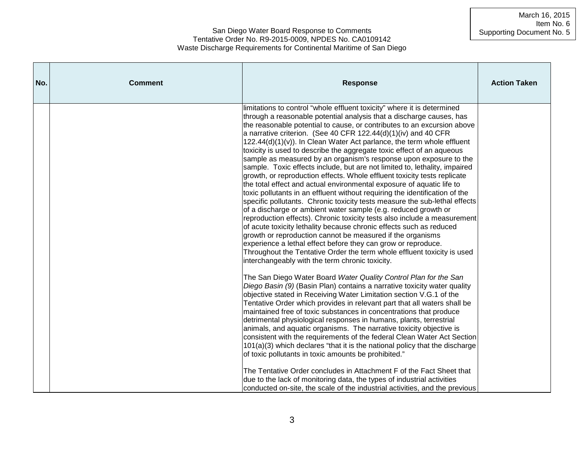| No. | <b>Comment</b> | <b>Response</b>                                                                                                                                                                                                                                                                                                                                                                                                                                                                                                                                                                                                                                                                                                                                                                                                                                                                                                                                                                                                                                                                                                                                                                                                                                                                                                                                                                                                                                                                                                                                                                                                                                                                                                                                                                                                                                                                                                                                                                                                                                                                                                                                                                                                          | <b>Action Taken</b> |
|-----|----------------|--------------------------------------------------------------------------------------------------------------------------------------------------------------------------------------------------------------------------------------------------------------------------------------------------------------------------------------------------------------------------------------------------------------------------------------------------------------------------------------------------------------------------------------------------------------------------------------------------------------------------------------------------------------------------------------------------------------------------------------------------------------------------------------------------------------------------------------------------------------------------------------------------------------------------------------------------------------------------------------------------------------------------------------------------------------------------------------------------------------------------------------------------------------------------------------------------------------------------------------------------------------------------------------------------------------------------------------------------------------------------------------------------------------------------------------------------------------------------------------------------------------------------------------------------------------------------------------------------------------------------------------------------------------------------------------------------------------------------------------------------------------------------------------------------------------------------------------------------------------------------------------------------------------------------------------------------------------------------------------------------------------------------------------------------------------------------------------------------------------------------------------------------------------------------------------------------------------------------|---------------------|
|     |                | limitations to control "whole effluent toxicity" where it is determined<br>through a reasonable potential analysis that a discharge causes, has<br>the reasonable potential to cause, or contributes to an excursion above<br>a narrative criterion. (See 40 CFR 122.44(d)(1)(iv) and 40 CFR<br>$122.44(d)(1)(v)$ . In Clean Water Act parlance, the term whole effluent<br>toxicity is used to describe the aggregate toxic effect of an aqueous<br>sample as measured by an organism's response upon exposure to the<br>sample. Toxic effects include, but are not limited to, lethality, impaired<br>growth, or reproduction effects. Whole effluent toxicity tests replicate<br>the total effect and actual environmental exposure of aquatic life to<br>toxic pollutants in an effluent without requiring the identification of the<br>specific pollutants. Chronic toxicity tests measure the sub-lethal effects<br>of a discharge or ambient water sample (e.g. reduced growth or<br>reproduction effects). Chronic toxicity tests also include a measurement<br>of acute toxicity lethality because chronic effects such as reduced<br>growth or reproduction cannot be measured if the organisms<br>experience a lethal effect before they can grow or reproduce.<br>Throughout the Tentative Order the term whole effluent toxicity is used<br>interchangeably with the term chronic toxicity.<br>The San Diego Water Board Water Quality Control Plan for the San<br>Diego Basin (9) (Basin Plan) contains a narrative toxicity water quality<br>objective stated in Receiving Water Limitation section V.G.1 of the<br>Tentative Order which provides in relevant part that all waters shall be<br>maintained free of toxic substances in concentrations that produce<br>detrimental physiological responses in humans, plants, terrestrial<br>animals, and aquatic organisms. The narrative toxicity objective is<br>consistent with the requirements of the federal Clean Water Act Section<br>101(a)(3) which declares "that it is the national policy that the discharge<br>of toxic pollutants in toxic amounts be prohibited."<br>The Tentative Order concludes in Attachment F of the Fact Sheet that |                     |
|     |                | due to the lack of monitoring data, the types of industrial activities<br>conducted on-site, the scale of the industrial activities, and the previous                                                                                                                                                                                                                                                                                                                                                                                                                                                                                                                                                                                                                                                                                                                                                                                                                                                                                                                                                                                                                                                                                                                                                                                                                                                                                                                                                                                                                                                                                                                                                                                                                                                                                                                                                                                                                                                                                                                                                                                                                                                                    |                     |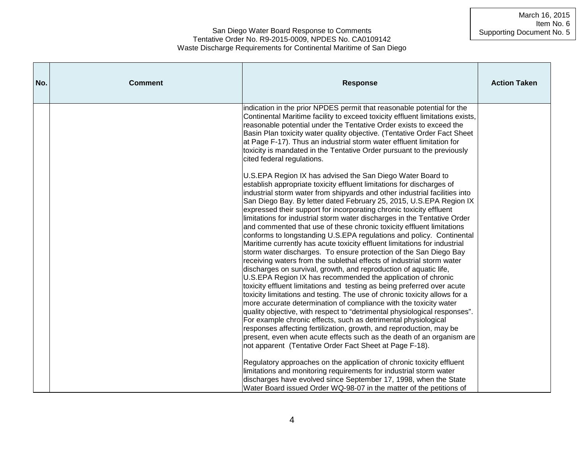| No. | <b>Comment</b> | <b>Response</b>                                                                                                                                                                                                                                                                                                                                                                                                                                                                                                                                                                                                                                                                                                                                                                                                                                                                                                                                                                                                                                                                                                                                                                                                                                                                                                                                                                                                                                                                                                                                                                                                                                                                                                                                                                                                                                                                                                                                                                                                                                     | <b>Action Taken</b> |
|-----|----------------|-----------------------------------------------------------------------------------------------------------------------------------------------------------------------------------------------------------------------------------------------------------------------------------------------------------------------------------------------------------------------------------------------------------------------------------------------------------------------------------------------------------------------------------------------------------------------------------------------------------------------------------------------------------------------------------------------------------------------------------------------------------------------------------------------------------------------------------------------------------------------------------------------------------------------------------------------------------------------------------------------------------------------------------------------------------------------------------------------------------------------------------------------------------------------------------------------------------------------------------------------------------------------------------------------------------------------------------------------------------------------------------------------------------------------------------------------------------------------------------------------------------------------------------------------------------------------------------------------------------------------------------------------------------------------------------------------------------------------------------------------------------------------------------------------------------------------------------------------------------------------------------------------------------------------------------------------------------------------------------------------------------------------------------------------------|---------------------|
|     |                | indication in the prior NPDES permit that reasonable potential for the<br>Continental Maritime facility to exceed toxicity effluent limitations exists,<br>reasonable potential under the Tentative Order exists to exceed the<br>Basin Plan toxicity water quality objective. (Tentative Order Fact Sheet<br>at Page F-17). Thus an industrial storm water effluent limitation for<br>toxicity is mandated in the Tentative Order pursuant to the previously<br>cited federal regulations.<br>U.S.EPA Region IX has advised the San Diego Water Board to<br>establish appropriate toxicity effluent limitations for discharges of<br>industrial storm water from shipyards and other industrial facilities into<br>San Diego Bay. By letter dated February 25, 2015, U.S.EPA Region IX<br>expressed their support for incorporating chronic toxicity effluent<br>limitations for industrial storm water discharges in the Tentative Order<br>and commented that use of these chronic toxicity effluent limitations<br>conforms to longstanding U.S.EPA regulations and policy. Continental<br>Maritime currently has acute toxicity effluent limitations for industrial<br>storm water discharges. To ensure protection of the San Diego Bay<br>receiving waters from the sublethal effects of industrial storm water<br>discharges on survival, growth, and reproduction of aquatic life,<br>U.S.EPA Region IX has recommended the application of chronic<br>toxicity effluent limitations and testing as being preferred over acute<br>toxicity limitations and testing. The use of chronic toxicity allows for a<br>more accurate determination of compliance with the toxicity water<br>quality objective, with respect to "detrimental physiological responses".<br>For example chronic effects, such as detrimental physiological<br>responses affecting fertilization, growth, and reproduction, may be<br>present, even when acute effects such as the death of an organism are<br>not apparent (Tentative Order Fact Sheet at Page F-18). |                     |
|     |                | Regulatory approaches on the application of chronic toxicity effluent<br>limitations and monitoring requirements for industrial storm water<br>discharges have evolved since September 17, 1998, when the State<br>Water Board issued Order WQ-98-07 in the matter of the petitions of                                                                                                                                                                                                                                                                                                                                                                                                                                                                                                                                                                                                                                                                                                                                                                                                                                                                                                                                                                                                                                                                                                                                                                                                                                                                                                                                                                                                                                                                                                                                                                                                                                                                                                                                                              |                     |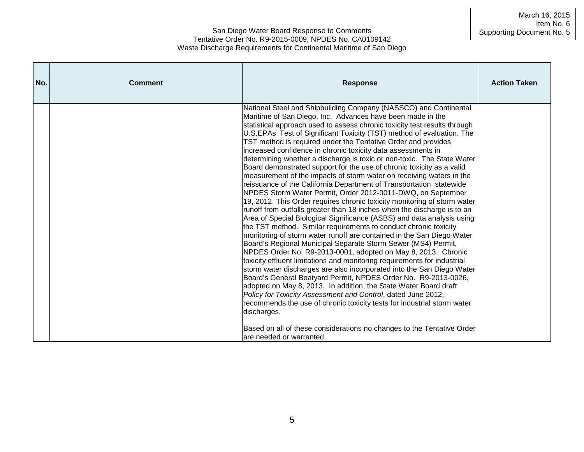| No. | <b>Comment</b> | <b>Response</b>                                                                                                                                                                                                                                                                                                                                                                                                                                                                                                                                                                                                                                                                                                                                                                                                                                                                                                                                                                                                                                                                                                                                                                                                                                                                                                                                                                                                                                                                                                                                                                                                                                                                                                                                                                                                                        | <b>Action Taken</b> |
|-----|----------------|----------------------------------------------------------------------------------------------------------------------------------------------------------------------------------------------------------------------------------------------------------------------------------------------------------------------------------------------------------------------------------------------------------------------------------------------------------------------------------------------------------------------------------------------------------------------------------------------------------------------------------------------------------------------------------------------------------------------------------------------------------------------------------------------------------------------------------------------------------------------------------------------------------------------------------------------------------------------------------------------------------------------------------------------------------------------------------------------------------------------------------------------------------------------------------------------------------------------------------------------------------------------------------------------------------------------------------------------------------------------------------------------------------------------------------------------------------------------------------------------------------------------------------------------------------------------------------------------------------------------------------------------------------------------------------------------------------------------------------------------------------------------------------------------------------------------------------------|---------------------|
|     |                | National Steel and Shipbuilding Company (NASSCO) and Continental<br>Maritime of San Diego, Inc. Advances have been made in the<br>statistical approach used to assess chronic toxicity test results through<br>U.S.EPAs' Test of Significant Toxicity (TST) method of evaluation. The<br>TST method is required under the Tentative Order and provides<br>increased confidence in chronic toxicity data assessments in<br>determining whether a discharge is toxic or non-toxic. The State Water<br>Board demonstrated support for the use of chronic toxicity as a valid<br>measurement of the impacts of storm water on receiving waters in the<br>reissuance of the California Department of Transportation statewide<br>NPDES Storm Water Permit, Order 2012-0011-DWQ, on September<br>19, 2012. This Order requires chronic toxicity monitoring of storm water<br>runoff from outfalls greater than 18 inches when the discharge is to an<br>Area of Special Biological Significance (ASBS) and data analysis using<br>the TST method. Similar requirements to conduct chronic toxicity<br>monitoring of storm water runoff are contained in the San Diego Water<br>Board's Regional Municipal Separate Storm Sewer (MS4) Permit,<br>NPDES Order No. R9-2013-0001, adopted on May 8, 2013. Chronic<br>toxicity effluent limitations and monitoring requirements for industrial<br>storm water discharges are also incorporated into the San Diego Water<br>Board's General Boatyard Permit, NPDES Order No. R9-2013-0026,<br>adopted on May 8, 2013. In addition, the State Water Board draft<br>Policy for Toxicity Assessment and Control, dated June 2012,<br>recommends the use of chronic toxicity tests for industrial storm water<br>discharges.<br>Based on all of these considerations no changes to the Tentative Order |                     |
|     |                | are needed or warranted.                                                                                                                                                                                                                                                                                                                                                                                                                                                                                                                                                                                                                                                                                                                                                                                                                                                                                                                                                                                                                                                                                                                                                                                                                                                                                                                                                                                                                                                                                                                                                                                                                                                                                                                                                                                                               |                     |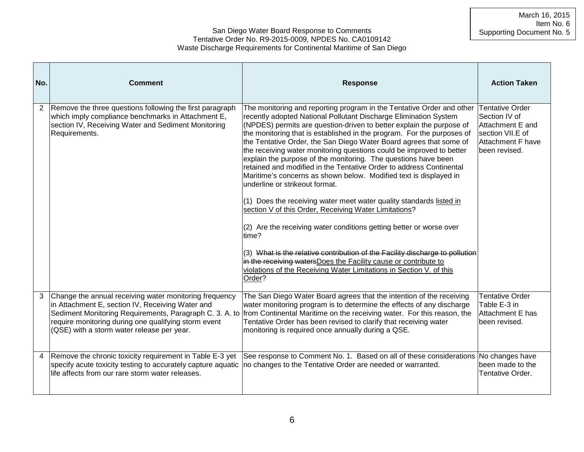| No. | <b>Comment</b>                                                                                                                                                                                                   | <b>Response</b>                                                                                                                                                                                                                                                                                                                                                                                                                                                                                                                                                                                                                                                                                                                                                                                                                                                                                                                                                                                                                                                                                                                               | <b>Action Taken</b>                                                                                                   |
|-----|------------------------------------------------------------------------------------------------------------------------------------------------------------------------------------------------------------------|-----------------------------------------------------------------------------------------------------------------------------------------------------------------------------------------------------------------------------------------------------------------------------------------------------------------------------------------------------------------------------------------------------------------------------------------------------------------------------------------------------------------------------------------------------------------------------------------------------------------------------------------------------------------------------------------------------------------------------------------------------------------------------------------------------------------------------------------------------------------------------------------------------------------------------------------------------------------------------------------------------------------------------------------------------------------------------------------------------------------------------------------------|-----------------------------------------------------------------------------------------------------------------------|
| 2   | Remove the three questions following the first paragraph<br>which imply compliance benchmarks in Attachment E,<br>section IV, Receiving Water and Sediment Monitoring<br>Requirements.                           | The monitoring and reporting program in the Tentative Order and other<br>recently adopted National Pollutant Discharge Elimination System<br>(NPDES) permits are question-driven to better explain the purpose of<br>the monitoring that is established in the program. For the purposes of<br>the Tentative Order, the San Diego Water Board agrees that some of<br>the receiving water monitoring questions could be improved to better<br>explain the purpose of the monitoring. The questions have been<br>retained and modified in the Tentative Order to address Continental<br>Maritime's concerns as shown below. Modified text is displayed in<br>underline or strikeout format.<br>(1) Does the receiving water meet water quality standards listed in<br>section V of this Order, Receiving Water Limitations?<br>(2) Are the receiving water conditions getting better or worse over<br>time?<br>(3) What is the relative contribution of the Facility discharge to pollution<br>in the receiving watersDoes the Facility cause or contribute to<br>violations of the Receiving Water Limitations in Section V. of this<br>Order? | <b>Tentative Order</b><br>Section IV of<br>Attachment E and<br>section VII.E of<br>Attachment F have<br>been revised. |
| 3   | Change the annual receiving water monitoring frequency<br>in Attachment E, section IV, Receiving Water and<br>require monitoring during one qualifying storm event<br>(QSE) with a storm water release per year. | The San Diego Water Board agrees that the intention of the receiving<br>water monitoring program is to determine the effects of any discharge<br>Sediment Monitoring Requirements, Paragraph C. 3. A. to from Continental Maritime on the receiving water. For this reason, the<br>Tentative Order has been revised to clarify that receiving water<br>monitoring is required once annually during a QSE.                                                                                                                                                                                                                                                                                                                                                                                                                                                                                                                                                                                                                                                                                                                                     | <b>Tentative Order</b><br>Table E-3 in<br>Attachment E has<br>been revised.                                           |
| 4   | Remove the chronic toxicity requirement in Table E-3 yet<br>life affects from our rare storm water releases.                                                                                                     | See response to Comment No. 1. Based on all of these considerations No changes have<br>specify acute toxicity testing to accurately capture aquatic no changes to the Tentative Order are needed or warranted.                                                                                                                                                                                                                                                                                                                                                                                                                                                                                                                                                                                                                                                                                                                                                                                                                                                                                                                                | lbeen made to the<br>Tentative Order.                                                                                 |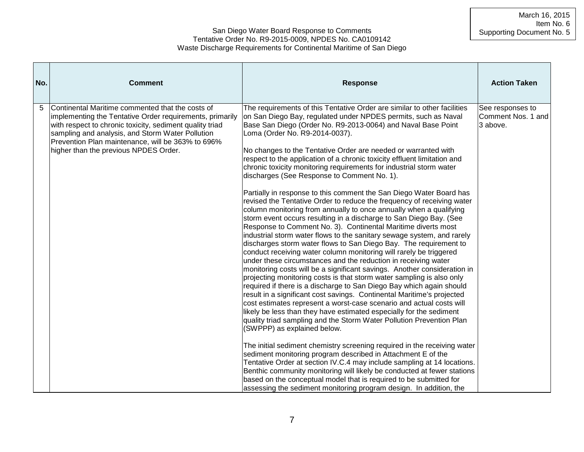| No. | <b>Comment</b>                                                                                                                                                                                                                                                                                                             | <b>Response</b>                                                                                                                                                                                                                                                                                                                                                                                                                                                                                                                                                                                                                                                                                                                                                                                                                                                                                                                                                                                                                                                                                                                                                                                                                                                                                                                                                                                                                                                                                                                                                                                                                                                                                                                                                                                                                                                                                                                                                                                                                                                                                                                                                                  | <b>Action Taken</b>                                |
|-----|----------------------------------------------------------------------------------------------------------------------------------------------------------------------------------------------------------------------------------------------------------------------------------------------------------------------------|----------------------------------------------------------------------------------------------------------------------------------------------------------------------------------------------------------------------------------------------------------------------------------------------------------------------------------------------------------------------------------------------------------------------------------------------------------------------------------------------------------------------------------------------------------------------------------------------------------------------------------------------------------------------------------------------------------------------------------------------------------------------------------------------------------------------------------------------------------------------------------------------------------------------------------------------------------------------------------------------------------------------------------------------------------------------------------------------------------------------------------------------------------------------------------------------------------------------------------------------------------------------------------------------------------------------------------------------------------------------------------------------------------------------------------------------------------------------------------------------------------------------------------------------------------------------------------------------------------------------------------------------------------------------------------------------------------------------------------------------------------------------------------------------------------------------------------------------------------------------------------------------------------------------------------------------------------------------------------------------------------------------------------------------------------------------------------------------------------------------------------------------------------------------------------|----------------------------------------------------|
| 5   | Continental Maritime commented that the costs of<br>implementing the Tentative Order requirements, primarily<br>with respect to chronic toxicity, sediment quality triad<br>sampling and analysis, and Storm Water Pollution<br>Prevention Plan maintenance, will be 363% to 696%<br>higher than the previous NPDES Order. | The requirements of this Tentative Order are similar to other facilities<br>on San Diego Bay, regulated under NPDES permits, such as Naval<br>Base San Diego (Order No. R9-2013-0064) and Naval Base Point<br>Loma (Order No. R9-2014-0037).<br>No changes to the Tentative Order are needed or warranted with<br>respect to the application of a chronic toxicity effluent limitation and<br>chronic toxicity monitoring requirements for industrial storm water<br>discharges (See Response to Comment No. 1).<br>Partially in response to this comment the San Diego Water Board has<br>revised the Tentative Order to reduce the frequency of receiving water<br>column monitoring from annually to once annually when a qualifying<br>storm event occurs resulting in a discharge to San Diego Bay. (See<br>Response to Comment No. 3). Continental Maritime diverts most<br>industrial storm water flows to the sanitary sewage system, and rarely<br>discharges storm water flows to San Diego Bay. The requirement to<br>conduct receiving water column monitoring will rarely be triggered<br>under these circumstances and the reduction in receiving water<br>monitoring costs will be a significant savings. Another consideration in<br>projecting monitoring costs is that storm water sampling is also only<br>required if there is a discharge to San Diego Bay which again should<br>result in a significant cost savings. Continental Maritime's projected<br>cost estimates represent a worst-case scenario and actual costs will<br>likely be less than they have estimated especially for the sediment<br>quality triad sampling and the Storm Water Pollution Prevention Plan<br>(SWPPP) as explained below.<br>The initial sediment chemistry screening required in the receiving water<br>sediment monitoring program described in Attachment E of the<br>Tentative Order at section IV.C.4 may include sampling at 14 locations.<br>Benthic community monitoring will likely be conducted at fewer stations<br>based on the conceptual model that is required to be submitted for<br>assessing the sediment monitoring program design. In addition, the | See responses to<br>Comment Nos. 1 and<br>3 above. |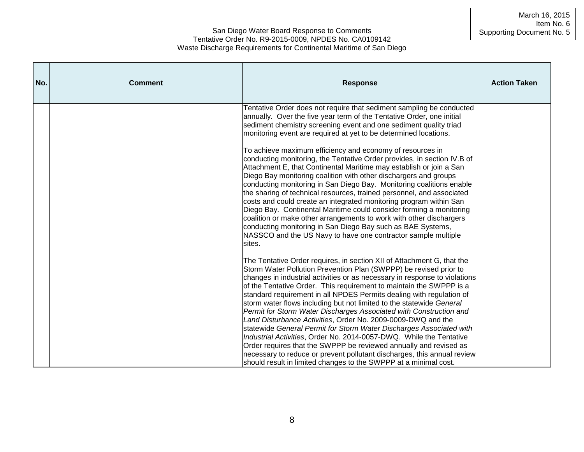| No. | <b>Comment</b> | <b>Response</b>                                                                                                                                                                                                                                                                                                                                                                                                                                                                                                                                                                                                                                                                                                                                                                                                                                                                                                                                                                                                                                                                          | <b>Action Taken</b> |
|-----|----------------|------------------------------------------------------------------------------------------------------------------------------------------------------------------------------------------------------------------------------------------------------------------------------------------------------------------------------------------------------------------------------------------------------------------------------------------------------------------------------------------------------------------------------------------------------------------------------------------------------------------------------------------------------------------------------------------------------------------------------------------------------------------------------------------------------------------------------------------------------------------------------------------------------------------------------------------------------------------------------------------------------------------------------------------------------------------------------------------|---------------------|
|     |                | Tentative Order does not require that sediment sampling be conducted<br>annually. Over the five year term of the Tentative Order, one initial<br>sediment chemistry screening event and one sediment quality triad<br>monitoring event are required at yet to be determined locations.<br>To achieve maximum efficiency and economy of resources in<br>conducting monitoring, the Tentative Order provides, in section IV.B of<br>Attachment E, that Continental Maritime may establish or join a San<br>Diego Bay monitoring coalition with other dischargers and groups<br>conducting monitoring in San Diego Bay. Monitoring coalitions enable<br>the sharing of technical resources, trained personnel, and associated<br>costs and could create an integrated monitoring program within San<br>Diego Bay. Continental Maritime could consider forming a monitoring<br>coalition or make other arrangements to work with other dischargers<br>conducting monitoring in San Diego Bay such as BAE Systems,<br>NASSCO and the US Navy to have one contractor sample multiple<br>sites. |                     |
|     |                | The Tentative Order requires, in section XII of Attachment G, that the<br>Storm Water Pollution Prevention Plan (SWPPP) be revised prior to<br>changes in industrial activities or as necessary in response to violations<br>of the Tentative Order. This requirement to maintain the SWPPP is a<br>standard requirement in all NPDES Permits dealing with regulation of<br>storm water flows including but not limited to the statewide General<br>Permit for Storm Water Discharges Associated with Construction and<br>Land Disturbance Activities, Order No. 2009-0009-DWQ and the<br>statewide General Permit for Storm Water Discharges Associated with<br>Industrial Activities, Order No. 2014-0057-DWQ. While the Tentative<br>Order requires that the SWPPP be reviewed annually and revised as<br>necessary to reduce or prevent pollutant discharges, this annual review<br>should result in limited changes to the SWPPP at a minimal cost.                                                                                                                                 |                     |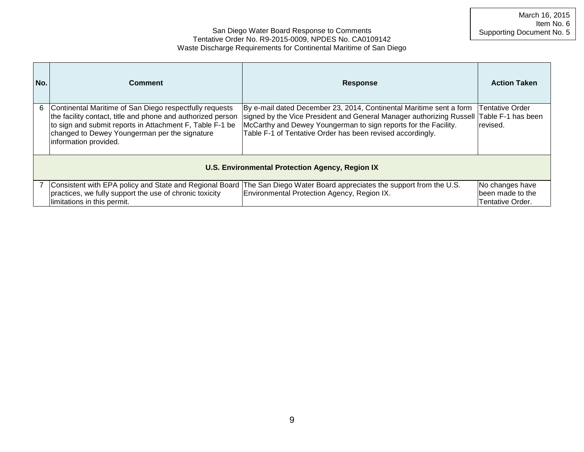| No.                                                    | <b>Comment</b>                                                                                                                                                                                                                                               | <b>Response</b>                                                                                                                                                                                                                                                                                 | <b>Action Taken</b>                                     |
|--------------------------------------------------------|--------------------------------------------------------------------------------------------------------------------------------------------------------------------------------------------------------------------------------------------------------------|-------------------------------------------------------------------------------------------------------------------------------------------------------------------------------------------------------------------------------------------------------------------------------------------------|---------------------------------------------------------|
| 6                                                      | Continental Maritime of San Diego respectfully requests<br>the facility contact, title and phone and authorized person<br>to sign and submit reports in Attachment F, Table F-1 be<br>changed to Dewey Youngerman per the signature<br>information provided. | By e-mail dated December 23, 2014, Continental Maritime sent a form<br>signed by the Vice President and General Manager authorizing Russell Table F-1 has been<br>McCarthy and Dewey Youngerman to sign reports for the Facility.<br>Table F-1 of Tentative Order has been revised accordingly. | lTentative Order<br><i><u><b>Irevised.</b></u></i>      |
| <b>U.S. Environmental Protection Agency, Region IX</b> |                                                                                                                                                                                                                                                              |                                                                                                                                                                                                                                                                                                 |                                                         |
|                                                        | Consistent with EPA policy and State and Regional Board<br>practices, we fully support the use of chronic toxicity<br>limitations in this permit.                                                                                                            | The San Diego Water Board appreciates the support from the U.S.<br>Environmental Protection Agency, Region IX.                                                                                                                                                                                  | No changes have<br>been made to the<br>Tentative Order. |